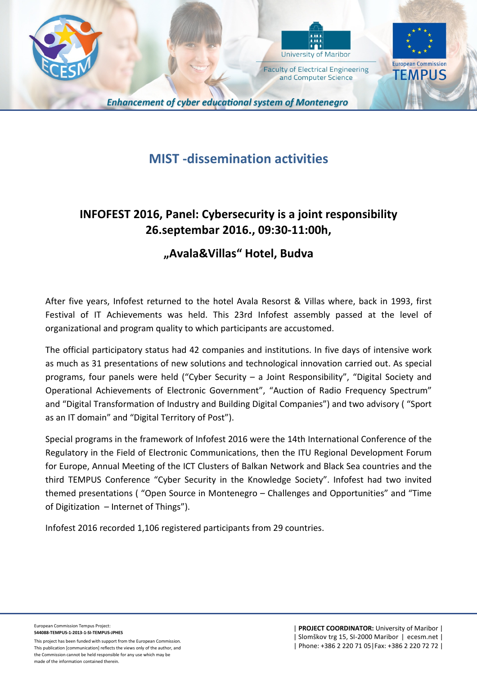



and Computer Science



**Enhancement of cyber educational system of Montenegro** 

# **MIST -dissemination activities**

## **INFOFEST 2016, Panel: Cybersecurity is a joint responsibility 26.septembar 2016., 09:30-11:00h,**

## **"Avala&Villas" Hotel, Budva**

After five years, Infofest returned to the hotel Avala Resorst & Villas where, back in 1993, first Festival of IT Achievements was held. This 23rd Infofest assembly passed at the level of organizational and program quality to which participants are accustomed.

The official participatory status had 42 companies and institutions. In five days of intensive work as much as 31 presentations of new solutions and technological innovation carried out. As special programs, four panels were held ("Cyber Security – a Joint Responsibility", "Digital Society and Operational Achievements of Electronic Government", "Auction of Radio Frequency Spectrum" and "Digital Transformation of Industry and Building Digital Companies") and two advisory ( "Sport as an IT domain" and "Digital Territory of Post").

Special programs in the framework of Infofest 2016 were the 14th International Conference of the Regulatory in the Field of Electronic Communications, then the ITU Regional Development Forum for Europe, Annual Meeting of the ICT Clusters of Balkan Network and Black Sea countries and the third TEMPUS Conference "Cyber Security in the Knowledge Society". Infofest had two invited themed presentations ( "Open Source in Montenegro – Challenges and Opportunities" and "Time of Digitization – Internet of Things").

Infofest 2016 recorded 1,106 registered participants from 29 countries.

This project has been funded with support from the European Commission. This publication [communication] reflects the views only of the author, and the Commission cannot be held responsible for any use which may be made of the information contained therein.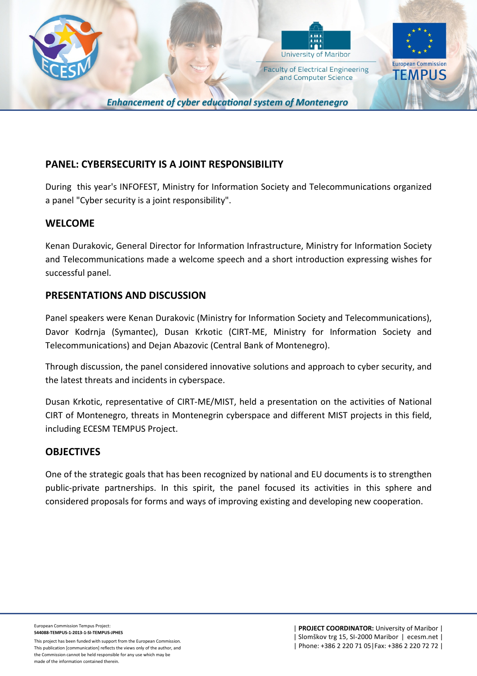



and Computer Science



**Enhancement of cyber educational system of Montenegro** 

### **PANEL: CYBERSECURITY IS A JOINT RESPONSIBILITY**

During this year's INFOFEST, Ministry for Information Society and Telecommunications organized a panel "Cyber security is a joint responsibility".

### **WELCOME**

Kenan Durakovic, General Director for Information Infrastructure, Ministry for Information Society and Telecommunications made a welcome speech and a short introduction expressing wishes for successful panel.

### **PRESENTATIONS AND DISCUSSION**

Panel speakers were Kenan Durakovic (Ministry for Information Society and Telecommunications), Davor Kodrnja (Symantec), Dusan Krkotic (CIRT-ME, Ministry for Information Society and Telecommunications) and Dejan Abazovic (Central Bank of Montenegro).

Through discussion, the panel considered innovative solutions and approach to cyber security, and the latest threats and incidents in cyberspace.

Dusan Krkotic, representative of CIRT-ME/MIST, held a presentation on the activities of National CIRT of Montenegro, threats in Montenegrin cyberspace and different MIST projects in this field, including ECESM TEMPUS Project.

#### **OBJECTIVES**

One of the strategic goals that has been recognized by national and EU documents is to strengthen public-private partnerships. In this spirit, the panel focused its activities in this sphere and considered proposals for forms and ways of improving existing and developing new cooperation.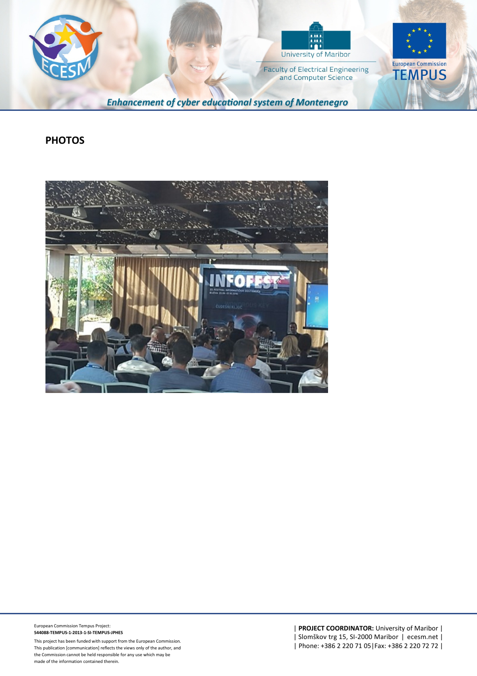



**Faculty of Electrical Engineering** and Computer Science



**Enhancement of cyber educational system of Montenegro** 

#### **PHOTOS**



European Commission Tempus Project: **544088-TEMPUS-1-2013-1-SI-TEMPUS-JPHES**

This project has been funded with support from the European Commission. This publication [communication] reflects the views only of the author, and the Commission cannot be held responsible for any use which may be made of the information contained therein.